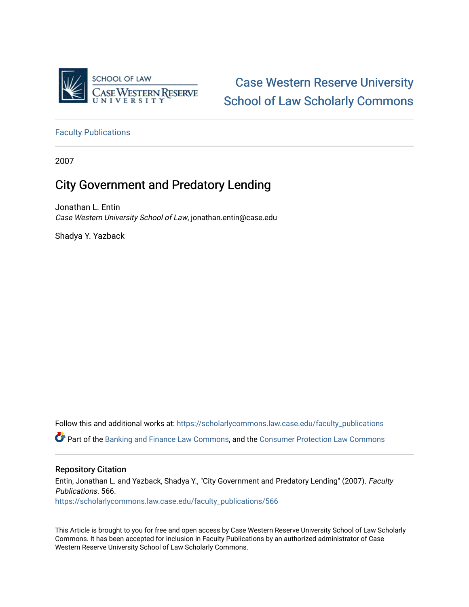

[Case Western Reserve University](https://scholarlycommons.law.case.edu/)  [School of Law Scholarly Commons](https://scholarlycommons.law.case.edu/) 

[Faculty Publications](https://scholarlycommons.law.case.edu/faculty_publications)

2007

# City Government and Predatory Lending

Jonathan L. Entin Case Western University School of Law, jonathan.entin@case.edu

Shadya Y. Yazback

Follow this and additional works at: [https://scholarlycommons.law.case.edu/faculty\\_publications](https://scholarlycommons.law.case.edu/faculty_publications?utm_source=scholarlycommons.law.case.edu%2Ffaculty_publications%2F566&utm_medium=PDF&utm_campaign=PDFCoverPages) Part of the [Banking and Finance Law Commons,](http://network.bepress.com/hgg/discipline/833?utm_source=scholarlycommons.law.case.edu%2Ffaculty_publications%2F566&utm_medium=PDF&utm_campaign=PDFCoverPages) and the [Consumer Protection Law Commons](http://network.bepress.com/hgg/discipline/838?utm_source=scholarlycommons.law.case.edu%2Ffaculty_publications%2F566&utm_medium=PDF&utm_campaign=PDFCoverPages) 

## Repository Citation

Entin, Jonathan L. and Yazback, Shadya Y., "City Government and Predatory Lending" (2007). Faculty Publications. 566. [https://scholarlycommons.law.case.edu/faculty\\_publications/566](https://scholarlycommons.law.case.edu/faculty_publications/566?utm_source=scholarlycommons.law.case.edu%2Ffaculty_publications%2F566&utm_medium=PDF&utm_campaign=PDFCoverPages)

This Article is brought to you for free and open access by Case Western Reserve University School of Law Scholarly Commons. It has been accepted for inclusion in Faculty Publications by an authorized administrator of Case Western Reserve University School of Law Scholarly Commons.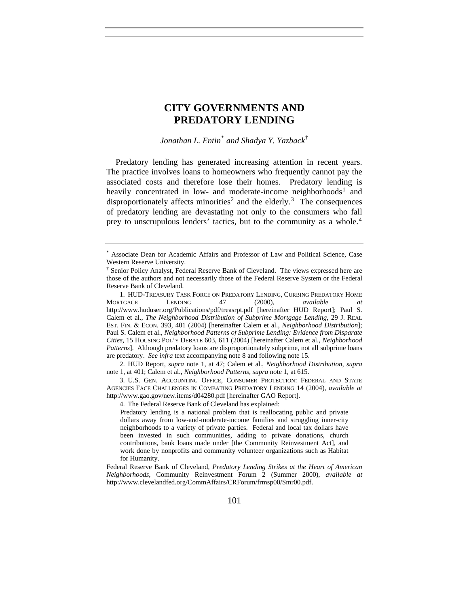# **CITY GOVERNMENTS AND PREDATORY LENDING**

*Jonathan L. Entin*[\\*](#page-1-0) *and Shadya Y. Yazback*[†](#page-1-1)

Predatory lending has generated increasing attention in recent years. The practice involves loans to homeowners who frequently cannot pay the associated costs and therefore lose their homes. Predatory lending is heavily concentrated in low- and moderate-income neighborhoods<sup>[1](#page-1-2)</sup> and disproportionately affects minorities<sup>[2](#page-1-3)</sup> and the elderly.<sup>[3](#page-1-4)</sup> The consequences of predatory lending are devastating not only to the consumers who fall prey to unscrupulous lenders' tactics, but to the community as a whole.<sup>[4](#page-1-5)</sup>

4. The Federal Reserve Bank of Cleveland has explained:

Predatory lending is a national problem that is reallocating public and private dollars away from low-and-moderate-income families and struggling inner-city neighborhoods to a variety of private parties. Federal and local tax dollars have been invested in such communities, adding to private donations, church contributions, bank loans made under [the Community Reinvestment Act], and work done by nonprofits and community volunteer organizations such as Habitat for Humanity.

Federal Reserve Bank of Cleveland, *Predatory Lending Strikes at the Heart of American Neighborhoods*, Community Reinvestment Forum 2 (Summer 2000), *available at* http://www.clevelandfed.org/CommAffairs/CRForum/frmsp00/Smr00.pdf.

<span id="page-1-0"></span><sup>\*</sup> Associate Dean for Academic Affairs and Professor of Law and Political Science, Case Western Reserve University.

<span id="page-1-1"></span><sup>†</sup> Senior Policy Analyst, Federal Reserve Bank of Cleveland. The views expressed here are those of the authors and not necessarily those of the Federal Reserve System or the Federal Reserve Bank of Cleveland.

<span id="page-1-2"></span><sup>1.</sup> HUD-TREASURY TASK FORCE ON PREDATORY LENDING, CURBING PREDATORY HOME MORTGAGE LENDING 47 (2000), *available at* http://www.huduser.org/Publications/pdf/treasrpt.pdf [hereinafter HUD Report]; Paul S. Calem et al., *The Neighborhood Distribution of Subprime Mortgage Lending*, 29 J. REAL EST. FIN. & ECON. 393, 401 (2004) [hereinafter Calem et al., *Neighborhood Distribution*]; Paul S. Calem et al., *Neighborhood Patterns of Subprime Lending: Evidence from Disparate Cities*, 15 HOUSING POL'Y DEBATE 603, 611 (2004) [hereinafter Calem et al., *Neighborhood Patterns*]. Although predatory loans are disproportionately subprime, not all subprime loans are predatory. *See infra* text accompanying note 8 and following note 15.

<span id="page-1-3"></span><sup>2.</sup> HUD Report, *supra* note 1, at 47; Calem et al., *Neighborhood Distribution*, *supra* note 1, at 401; Calem et al., *Neighborhood Patterns*, *supra* note 1, at 615.

<span id="page-1-5"></span><span id="page-1-4"></span><sup>3.</sup> U.S. GEN. ACCOUNTING OFFICE, CONSUMER PROTECTION: FEDERAL AND STATE AGENCIES FACE CHALLENGES IN COMBATING PREDATORY LENDING 14 (2004), *available at* http://www.gao.gov/new.items/d04280.pdf [hereinafter GAO Report].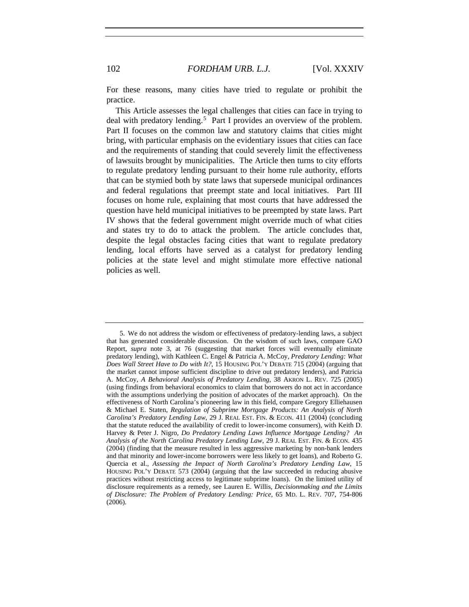For these reasons, many cities have tried to regulate or prohibit the practice.

This Article assesses the legal challenges that cities can face in trying to deal with predatory lending.<sup>[5](#page-2-0)</sup> Part I provides an overview of the problem. Part II focuses on the common law and statutory claims that cities might bring, with particular emphasis on the evidentiary issues that cities can face and the requirements of standing that could severely limit the effectiveness of lawsuits brought by municipalities. The Article then turns to city efforts to regulate predatory lending pursuant to their home rule authority, efforts that can be stymied both by state laws that supersede municipal ordinances and federal regulations that preempt state and local initiatives. Part III focuses on home rule, explaining that most courts that have addressed the question have held municipal initiatives to be preempted by state laws. Part IV shows that the federal government might override much of what cities and states try to do to attack the problem. The article concludes that, despite the legal obstacles facing cities that want to regulate predatory lending, local efforts have served as a catalyst for predatory lending policies at the state level and might stimulate more effective national policies as well.

<span id="page-2-0"></span><sup>5.</sup> We do not address the wisdom or effectiveness of predatory-lending laws, a subject that has generated considerable discussion. On the wisdom of such laws, compare GAO Report, *supra* note 3, at 76 (suggesting that market forces will eventually eliminate predatory lending), with Kathleen C. Engel & Patricia A. McCoy, *Predatory Lending: What Does Wall Street Have to Do with It?*, 15 HOUSING POL'Y DEBATE 715 (2004) (arguing that the market cannot impose sufficient discipline to drive out predatory lenders), and Patricia A. McCoy, *A Behavioral Analysis of Predatory Lending*, 38 AKRON L. REV. 725 (2005) (using findings from behavioral economics to claim that borrowers do not act in accordance with the assumptions underlying the position of advocates of the market approach). On the effectiveness of North Carolina's pioneering law in this field, compare Gregory Elliehausen & Michael E. Staten, *Regulation of Subprime Mortgage Products: An Analysis of North Carolina's Predatory Lending Law*, 29 J. REAL EST. FIN. & ECON. 411 (2004) (concluding that the statute reduced the availability of credit to lower-income consumers), with Keith D. Harvey & Peter J. Nigro, *Do Predatory Lending Laws Influence Mortgage Lending? An Analysis of the North Carolina Predatory Lending Law*, 29 J. REAL EST. FIN. & ECON. 435 (2004) (finding that the measure resulted in less aggressive marketing by non-bank lenders and that minority and lower-income borrowers were less likely to get loans), and Roberto G. Quercia et al., *Assessing the Impact of North Carolina's Predatory Lending Law*, 15 HOUSING POL'Y DEBATE 573 (2004) (arguing that the law succeeded in reducing abusive practices without restricting access to legitimate subprime loans). On the limited utility of disclosure requirements as a remedy, see Lauren E. Willis, *Decisionmaking and the Limits of Disclosure: The Problem of Predatory Lending: Price*, 65 MD. L. REV. 707, 754-806 (2006).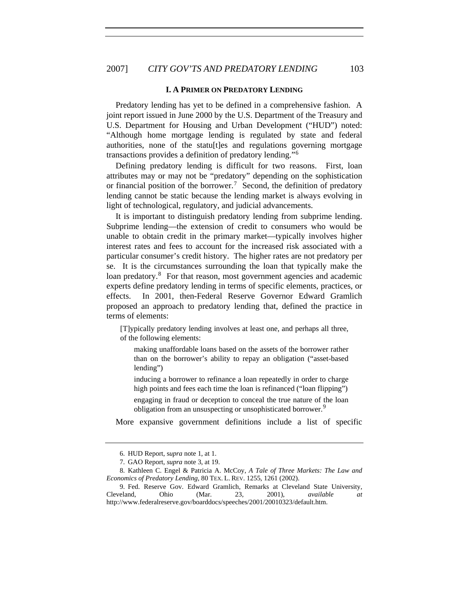## 2007] *CITY GOV'TS AND PREDATORY LENDING* 103

#### **I. A PRIMER ON PREDATORY LENDING**

Predatory lending has yet to be defined in a comprehensive fashion. A joint report issued in June 2000 by the U.S. Department of the Treasury and U.S. Department for Housing and Urban Development ("HUD") noted: "Although home mortgage lending is regulated by state and federal authorities, none of the statularies and regulations governing mortgage transactions provides a definition of predatory lending."[6](#page-3-0)

Defining predatory lending is difficult for two reasons. First, loan attributes may or may not be "predatory" depending on the sophistication or financial position of the borrower.<sup>[7](#page-3-1)</sup> Second, the definition of predatory lending cannot be static because the lending market is always evolving in light of technological, regulatory, and judicial advancements.

It is important to distinguish predatory lending from subprime lending. Subprime lending—the extension of credit to consumers who would be unable to obtain credit in the primary market—typically involves higher interest rates and fees to account for the increased risk associated with a particular consumer's credit history. The higher rates are not predatory per se. It is the circumstances surrounding the loan that typically make the loan predatory.<sup>[8](#page-3-2)</sup> For that reason, most government agencies and academic experts define predatory lending in terms of specific elements, practices, or effects. In 2001, then-Federal Reserve Governor Edward Gramlich proposed an approach to predatory lending that, defined the practice in terms of elements:

[T]ypically predatory lending involves at least one, and perhaps all three, of the following elements:

making unaffordable loans based on the assets of the borrower rather than on the borrower's ability to repay an obligation ("asset-based lending")

inducing a borrower to refinance a loan repeatedly in order to charge high points and fees each time the loan is refinanced ("loan flipping")

engaging in fraud or deception to conceal the true nature of the loan obligation from an unsuspecting or unsophisticated borrower.<sup>[9](#page-3-3)</sup>

More expansive government definitions include a list of specific

<sup>6.</sup> HUD Report, s*upra* note 1, at 1.

<sup>7.</sup> GAO Report, *supra* note 3, at 19.

<span id="page-3-2"></span><span id="page-3-1"></span><span id="page-3-0"></span><sup>8.</sup> Kathleen C. Engel & Patricia A. McCoy, *A Tale of Three Markets: The Law and Economics of Predatory Lending*, 80 TEX. L. REV. 1255, 1261 (2002).

<span id="page-3-3"></span><sup>9.</sup> Fed. Reserve Gov. Edward Gramlich, Remarks at Cleveland State University, Cleveland, Ohio (Mar. 23, 2001), *available at* http://www.federalreserve.gov/boarddocs/speeches/2001/20010323/default.htm.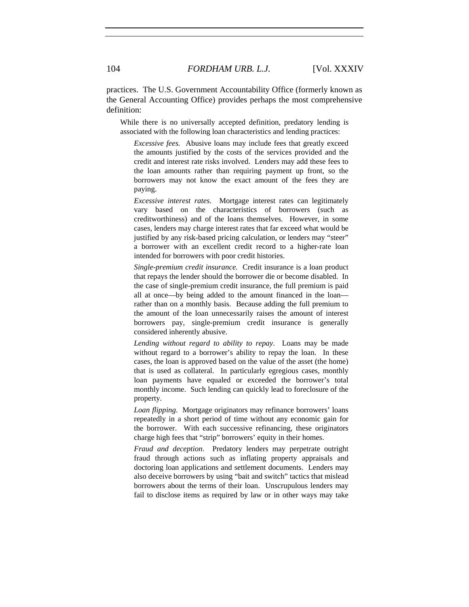practices. The U.S. Government Accountability Office (formerly known as the General Accounting Office) provides perhaps the most comprehensive definition:

While there is no universally accepted definition, predatory lending is associated with the following loan characteristics and lending practices:

*Excessive fees.* Abusive loans may include fees that greatly exceed the amounts justified by the costs of the services provided and the credit and interest rate risks involved. Lenders may add these fees to the loan amounts rather than requiring payment up front, so the borrowers may not know the exact amount of the fees they are paying.

*Excessive interest rates*. Mortgage interest rates can legitimately vary based on the characteristics of borrowers (such as creditworthiness) and of the loans themselves. However, in some cases, lenders may charge interest rates that far exceed what would be justified by any risk-based pricing calculation, or lenders may "steer" a borrower with an excellent credit record to a higher-rate loan intended for borrowers with poor credit histories.

*Single-premium credit insurance.* Credit insurance is a loan product that repays the lender should the borrower die or become disabled. In the case of single-premium credit insurance, the full premium is paid all at once—by being added to the amount financed in the loan rather than on a monthly basis. Because adding the full premium to the amount of the loan unnecessarily raises the amount of interest borrowers pay, single-premium credit insurance is generally considered inherently abusive.

*Lending without regard to ability to repay*. Loans may be made without regard to a borrower's ability to repay the loan. In these cases, the loan is approved based on the value of the asset (the home) that is used as collateral. In particularly egregious cases, monthly loan payments have equaled or exceeded the borrower's total monthly income. Such lending can quickly lead to foreclosure of the property.

*Loan flipping*. Mortgage originators may refinance borrowers' loans repeatedly in a short period of time without any economic gain for the borrower. With each successive refinancing, these originators charge high fees that "strip" borrowers' equity in their homes.

*Fraud and deception*. Predatory lenders may perpetrate outright fraud through actions such as inflating property appraisals and doctoring loan applications and settlement documents. Lenders may also deceive borrowers by using "bait and switch" tactics that mislead borrowers about the terms of their loan. Unscrupulous lenders may fail to disclose items as required by law or in other ways may take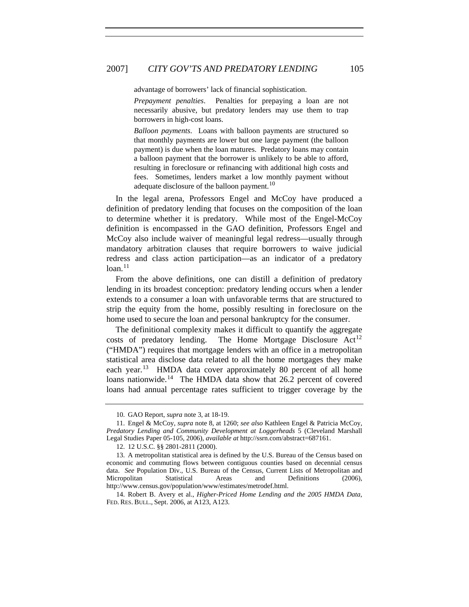advantage of borrowers' lack of financial sophistication.

*Prepayment penalties*. Penalties for prepaying a loan are not necessarily abusive, but predatory lenders may use them to trap borrowers in high-cost loans.

*Balloon payments*. Loans with balloon payments are structured so that monthly payments are lower but one large payment (the balloon payment) is due when the loan matures. Predatory loans may contain a balloon payment that the borrower is unlikely to be able to afford, resulting in foreclosure or refinancing with additional high costs and fees. Sometimes, lenders market a low monthly payment without adequate disclosure of the balloon payment.<sup>[10](#page-5-0)</sup>

In the legal arena, Professors Engel and McCoy have produced a definition of predatory lending that focuses on the composition of the loan to determine whether it is predatory. While most of the Engel-McCoy definition is encompassed in the GAO definition, Professors Engel and McCoy also include waiver of meaningful legal redress—usually through mandatory arbitration clauses that require borrowers to waive judicial redress and class action participation—as an indicator of a predatory  $loan.<sup>11</sup>$  $loan.<sup>11</sup>$  $loan.<sup>11</sup>$ 

From the above definitions, one can distill a definition of predatory lending in its broadest conception: predatory lending occurs when a lender extends to a consumer a loan with unfavorable terms that are structured to strip the equity from the home, possibly resulting in foreclosure on the home used to secure the loan and personal bankruptcy for the consumer.

The definitional complexity makes it difficult to quantify the aggregate costs of predatory lending. The Home Mortgage Disclosure  $Act<sup>12</sup>$  $Act<sup>12</sup>$  $Act<sup>12</sup>$ ("HMDA") requires that mortgage lenders with an office in a metropolitan statistical area disclose data related to all the home mortgages they make each year.<sup>[13](#page-5-3)</sup> HMDA data cover approximately 80 percent of all home loans nationwide.<sup>[14](#page-5-4)</sup> The HMDA data show that 26.2 percent of covered loans had annual percentage rates sufficient to trigger coverage by the

<span id="page-5-4"></span>14. Robert B. Avery et al., *Higher-Priced Home Lending and the 2005 HMDA Data*, FED. RES. BULL., Sept. 2006, at A123, A123.

<sup>10.</sup> GAO Report, *supra* note 3, at 18-19.

<span id="page-5-1"></span><span id="page-5-0"></span><sup>11.</sup> Engel & McCoy, *supra* note 8, at 1260; *see also* Kathleen Engel & Patricia McCoy, *Predatory Lending and Community Development at Loggerheads* 5 (Cleveland Marshall Legal Studies Paper 05-105, 2006), *available at* http://ssrn.com/abstract=687161.

<sup>12. 12</sup> U.S.C. §§ 2801-2811 (2000).

<span id="page-5-3"></span><span id="page-5-2"></span><sup>13.</sup> A metropolitan statistical area is defined by the U.S. Bureau of the Census based on economic and commuting flows between contiguous counties based on decennial census data. *See* Population Div., U.S. Bureau of the Census, Current Lists of Metropolitan and Micropolitan Statistical Areas and Definitions (2006), http://www.census.gov/population/www/estimates/metrodef.html.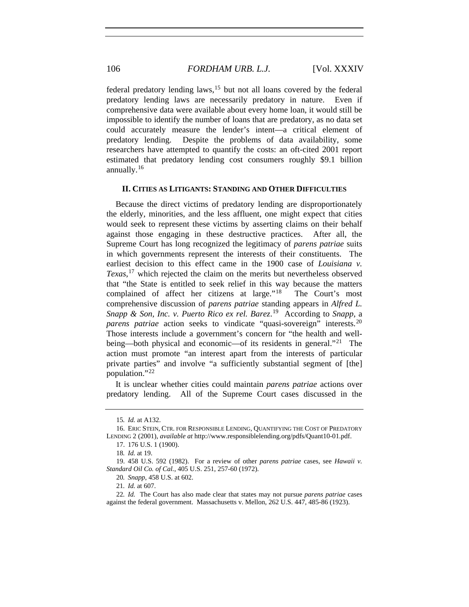federal predatory lending laws,  $15$  but not all loans covered by the federal predatory lending laws are necessarily predatory in nature. Even if comprehensive data were available about every home loan, it would still be impossible to identify the number of loans that are predatory, as no data set could accurately measure the lender's intent—a critical element of predatory lending. Despite the problems of data availability, some researchers have attempted to quantify the costs: an oft-cited 2001 report estimated that predatory lending cost consumers roughly \$9.1 billion annually. $16$ 

#### **II. CITIES AS LITIGANTS: STANDING AND OTHER DIFFICULTIES**

Because the direct victims of predatory lending are disproportionately the elderly, minorities, and the less affluent, one might expect that cities would seek to represent these victims by asserting claims on their behalf against those engaging in these destructive practices. After all, the Supreme Court has long recognized the legitimacy of *parens patriae* suits in which governments represent the interests of their constituents. The earliest decision to this effect came in the 1900 case of *Louisiana v. Texas*, [17](#page-6-2) which rejected the claim on the merits but nevertheless observed that "the State is entitled to seek relief in this way because the matters complained of affect her citizens at large."<sup>[18](#page-6-3)</sup> The Court's most comprehensive discussion of *parens patriae* standing appears in *Alfred L. Snapp & Son, Inc. v. Puerto Rico ex rel. Barez*. [19](#page-6-4) According to *Snapp*, a *parens patriae* action seeks to vindicate "quasi-sovereign" interests.<sup>[20](#page-6-5)</sup> Those interests include a government's concern for "the health and well-being—both physical and economic—of its residents in general."<sup>[21](#page-6-6)</sup> The action must promote "an interest apart from the interests of particular private parties" and involve "a sufficiently substantial segment of [the] population."[22](#page-6-7)

It is unclear whether cities could maintain *parens patriae* actions over predatory lending. All of the Supreme Court cases discussed in the

<sup>15</sup>*. Id.* at A132.

<span id="page-6-2"></span><span id="page-6-1"></span><span id="page-6-0"></span><sup>16.</sup> ERIC STEIN, CTR. FOR RESPONSIBLE LENDING, QUANTIFYING THE COST OF PREDATORY LENDING 2 (2001), *available at* http://www.responsiblelending.org/pdfs/Quant10-01.pdf.

<sup>17. 176</sup> U.S. 1 (1900).

<sup>18</sup>*. Id.* at 19.

<span id="page-6-4"></span><span id="page-6-3"></span><sup>19. 458</sup> U.S. 592 (1982). For a review of other *parens patriae* cases, see *Hawaii v. Standard Oil Co. of Cal.*, 405 U.S. 251, 257-60 (1972).

<sup>20</sup>*. Snapp*, 458 U.S. at 602.

<sup>21</sup>*. Id.* at 607.

<span id="page-6-7"></span><span id="page-6-6"></span><span id="page-6-5"></span><sup>22</sup>*. Id.* The Court has also made clear that states may not pursue *parens patriae* cases against the federal government. Massachusetts v. Mellon, 262 U.S. 447, 485-86 (1923).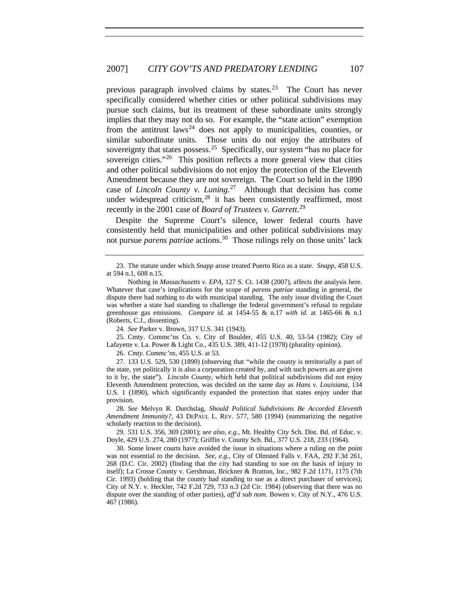previous paragraph involved claims by states.<sup>[23](#page-7-0)</sup> The Court has never specifically considered whether cities or other political subdivisions may pursue such claims, but its treatment of these subordinate units strongly implies that they may not do so. For example, the "state action" exemption from the antitrust laws<sup>[24](#page-7-1)</sup> does not apply to municipalities, counties, or similar subordinate units. Those units do not enjoy the attributes of sovereignty that states possess.<sup>[25](#page-7-2)</sup> Specifically, our system "has no place for sovereign cities."<sup>[26](#page-7-3)</sup> This position reflects a more general view that cities and other political subdivisions do not enjoy the protection of the Eleventh Amendment because they are not sovereign. The Court so held in the 1890 case of *Lincoln County v. Luning*. [27](#page-7-4) Although that decision has come under widespread criticism, $28$  it has been consistently reaffirmed, most recently in the 2001 case of *Board of Trustees v. Garrett*. [29](#page-7-6)

Despite the Supreme Court's silence, lower federal courts have consistently held that municipalities and other political subdivisions may not pursue *parens patriae* actions.[30](#page-7-7) Those rulings rely on those units' lack

<span id="page-7-2"></span><span id="page-7-1"></span>25. Cmty. Commc'ns Co. v. City of Boulder, 455 U.S. 40, 53-54 (1982); City of Lafayette v. La. Power & Light Co., 435 U.S. 389, 411-12 (1978) (plurality opinion).

26*. Cmty. Commc'ns*, 455 U.S. at 53.

<span id="page-7-4"></span><span id="page-7-3"></span>27. 133 U.S. 529, 530 (1890) (observing that "while the county is territorially a part of the state, yet politically it is also a corporation created by, and with such powers as are given to it by, the state"). *Lincoln County*, which held that political subdivisions did not enjoy Eleventh Amendment protection, was decided on the same day as *Hans v. Louisiana*, 134 U.S. 1 (1890), which significantly expanded the protection that states enjoy under that provision.

<span id="page-7-5"></span>28*. See* Melvyn R. Durchslag, *Should Political Subdivisions Be Accorded Eleventh Amendment Immunity?*, 43 DEPAUL L. REV. 577, 580 (1994) (summarizing the negative scholarly reaction to the decision).

<span id="page-7-6"></span>29. 531 U.S. 356, 369 (2001); *see also, e.g.*, Mt. Healthy City Sch. Dist. Bd. of Educ. v. Doyle, 429 U.S. 274, 280 (1977); Griffin v. County Sch. Bd., 377 U.S. 218, 233 (1964).

<span id="page-7-7"></span>30. Some lower courts have avoided the issue in situations where a ruling on the point was not essential to the decision. *See, e.g.*, City of Olmsted Falls v. FAA, 292 F.3d 261, 268 (D.C. Cir. 2002) (finding that the city had standing to sue on the basis of injury to itself); La Crosse County v. Gershman, Brickner & Bratton, Inc., 982 F.2d 1171, 1175 (7th Cir. 1993) (holding that the county had standing to sue as a direct purchaser of services); City of N.Y. v. Heckler, 742 F.2d 729, 733 n.3 (2d Cir. 1984) (observing that there was no dispute over the standing of other parties), *aff'd sub nom.* Bowen v. City of N.Y., 476 U.S. 467 (1986).

<span id="page-7-0"></span><sup>23.</sup> The statute under which *Snapp* arose treated Puerto Rico as a state. *Snapp*, 458 U.S. at 594 n.1, 608 n.15.

Nothing in *Massachusetts v. EPA*, 127 S. Ct. 1438 (2007), affects the analysis here. Whatever that case's implications for the scope of *parens patriae* standing in general, the dispute there had nothing to do with municipal standing. The only issue dividing the Court was whether a state had standing to challenge the federal government's refusal to regulate greenhouse gas emissions. *Compare id.* at 1454-55 & n.17 *with id.* at 1465-66 & n.1 (Roberts, C.J., dissenting).

<sup>24</sup>*. See* Parker v. Brown, 317 U.S. 341 (1943).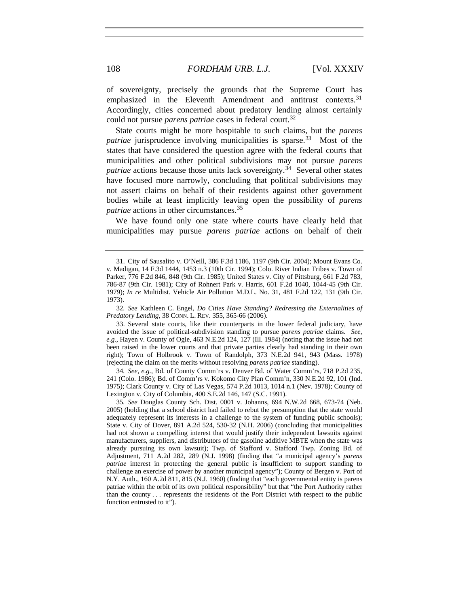of sovereignty, precisely the grounds that the Supreme Court has emphasized in the Eleventh Amendment and antitrust contexts.<sup>[31](#page-8-0)</sup> Accordingly, cities concerned about predatory lending almost certainly could not pursue *parens patriae* cases in federal court.<sup>[32](#page-8-1)</sup>

State courts might be more hospitable to such claims, but the *parens patriae* jurisprudence involving municipalities is sparse.<sup>[33](#page-8-2)</sup> Most of the states that have considered the question agree with the federal courts that municipalities and other political subdivisions may not pursue *parens patriae* actions because those units lack sovereignty.<sup>[34](#page-8-3)</sup> Several other states have focused more narrowly, concluding that political subdivisions may not assert claims on behalf of their residents against other government bodies while at least implicitly leaving open the possibility of *parens patriae* actions in other circumstances.[35](#page-8-4)

We have found only one state where courts have clearly held that municipalities may pursue *parens patriae* actions on behalf of their

<span id="page-8-1"></span>32*. See* Kathleen C. Engel, *Do Cities Have Standing? Redressing the Externalities of Predatory Lending*, 38 CONN. L. REV. 355, 365-66 (2006).

<span id="page-8-2"></span>33. Several state courts, like their counterparts in the lower federal judiciary, have avoided the issue of political-subdivision standing to pursue *parens patriae* claims. *See, e.g.*, Hayen v. County of Ogle, 463 N.E.2d 124, 127 (Ill. 1984) (noting that the issue had not been raised in the lower courts and that private parties clearly had standing in their own right); Town of Holbrook v. Town of Randolph, 373 N.E.2d 941, 943 (Mass. 1978) (rejecting the claim on the merits without resolving *parens patriae* standing).

<span id="page-8-3"></span>34*. See, e.g.*, Bd. of County Comm'rs v. Denver Bd. of Water Comm'rs, 718 P.2d 235, 241 (Colo. 1986); Bd. of Comm'rs v. Kokomo City Plan Comm'n, 330 N.E.2d 92, 101 (Ind. 1975); Clark County v. City of Las Vegas, 574 P.2d 1013, 1014 n.1 (Nev. 1978); County of Lexington v. City of Columbia, 400 S.E.2d 146, 147 (S.C. 1991).

<span id="page-8-4"></span>35*. See* Douglas County Sch. Dist. 0001 v. Johanns, 694 N.W.2d 668, 673-74 (Neb. 2005) (holding that a school district had failed to rebut the presumption that the state would adequately represent its interests in a challenge to the system of funding public schools); State v. City of Dover, 891 A.2d 524, 530-32 (N.H. 2006) (concluding that municipalities had not shown a compelling interest that would justify their independent lawsuits against manufacturers, suppliers, and distributors of the gasoline additive MBTE when the state was already pursuing its own lawsuit); Twp. of Stafford v. Stafford Twp. Zoning Bd. of Adjustment, 711 A.2d 282, 289 (N.J. 1998) (finding that "a municipal agency's *parens patriae* interest in protecting the general public is insufficient to support standing to challenge an exercise of power by another municipal agency"); County of Bergen v. Port of N.Y. Auth., 160 A.2d 811, 815 (N.J. 1960) (finding that "each governmental entity is parens patriae within the orbit of its own political responsibility" but that "the Port Authority rather than the county . . . represents the residents of the Port District with respect to the public function entrusted to it").

<span id="page-8-0"></span><sup>31.</sup> City of Sausalito v. O'Neill, 386 F.3d 1186, 1197 (9th Cir. 2004); Mount Evans Co. v. Madigan, 14 F.3d 1444, 1453 n.3 (10th Cir. 1994); Colo. River Indian Tribes v. Town of Parker, 776 F.2d 846, 848 (9th Cir. 1985); United States v. City of Pittsburg, 661 F.2d 783, 786-87 (9th Cir. 1981); City of Rohnert Park v. Harris, 601 F.2d 1040, 1044-45 (9th Cir. 1979); *In re* Multidist. Vehicle Air Pollution M.D.L. No. 31, 481 F.2d 122, 131 (9th Cir. 1973).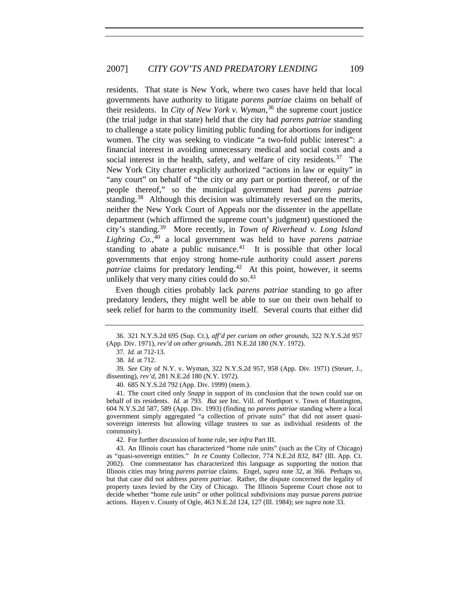residents. That state is New York, where two cases have held that local governments have authority to litigate *parens patriae* claims on behalf of their residents. In *City of New York v. Wyman*, [36](#page-9-0) the supreme court justice (the trial judge in that state) held that the city had *parens patriae* standing to challenge a state policy limiting public funding for abortions for indigent women. The city was seeking to vindicate "a two-fold public interest": a financial interest in avoiding unnecessary medical and social costs and a social interest in the health, safety, and welfare of city residents.<sup>[37](#page-9-1)</sup> The New York City charter explicitly authorized "actions in law or equity" in "any court" on behalf of "the city or any part or portion thereof, or of the people thereof," so the municipal government had *parens patriae* standing.<sup>[38](#page-9-2)</sup> Although this decision was ultimately reversed on the merits, neither the New York Court of Appeals nor the dissenter in the appellate department (which affirmed the supreme court's judgment) questioned the city's standing.[39](#page-9-3) More recently, in *Town of Riverhead v. Long Island Lighting Co.*, [40](#page-9-4) a local government was held to have *parens patriae* standing to abate a public nuisance. $41$  It is possible that other local governments that enjoy strong home-rule authority could assert *parens patriae* claims for predatory lending.<sup>[42](#page-9-6)</sup> At this point, however, it seems unlikely that very many cities could do so. $43$ 

Even though cities probably lack *parens patriae* standing to go after predatory lenders, they might well be able to sue on their own behalf to seek relief for harm to the community itself. Several courts that either did

<span id="page-9-3"></span><span id="page-9-2"></span>39*. See* City of N.Y. v. Wyman, 322 N.Y.S.2d 957, 958 (App. Div. 1971) (Steuer, J., dissenting), *rev'd*, 281 N.E.2d 180 (N.Y. 1972).

40. 685 N.Y.S.2d 792 (App. Div. 1999) (mem.).

<span id="page-9-5"></span><span id="page-9-4"></span>41. The court cited only *Snapp* in support of its conclusion that the town could sue on behalf of its residents. *Id.* at 793. *But see* Inc. Vill. of Northport v. Town of Huntington, 604 N.Y.S.2d 587, 589 (App. Div. 1993) (finding no *parens patriae* standing where a local government simply aggregated "a collection of private suits" that did not assert quasisovereign interests but allowing village trustees to sue as individual residents of the community).

42. For further discussion of home rule, see *infra* Part III.

<span id="page-9-7"></span><span id="page-9-6"></span>43. An Illinois court has characterized "home rule units" (such as the City of Chicago) as "quasi-sovereign entities." *In re* County Collector, 774 N.E.2d 832, 847 (Ill. App. Ct. 2002). One commentator has characterized this language as supporting the notion that Illinois cities may bring *parens patriae* claims. Engel, *supra* note 32, at 366. Perhaps so, but that case did not address *parens patriae*. Rather, the dispute concerned the legality of property taxes levied by the City of Chicago. The Illinois Supreme Court chose not to decide whether "home rule units" or other political subdivisions may pursue *parens patriae* actions. Hayen v. County of Ogle, 463 N.E.2d 124, 127 (Ill. 1984); *see supra* note 33.

<span id="page-9-1"></span><span id="page-9-0"></span><sup>36. 321</sup> N.Y.S.2d 695 (Sup. Ct.), *aff'd per curiam on other grounds*, 322 N.Y.S.2d 957 (App. Div. 1971), *rev'd on other grounds*, 281 N.E.2d 180 (N.Y. 1972).

<sup>37</sup>*. Id.* at 712-13.

<sup>38</sup>*. Id.* at 712.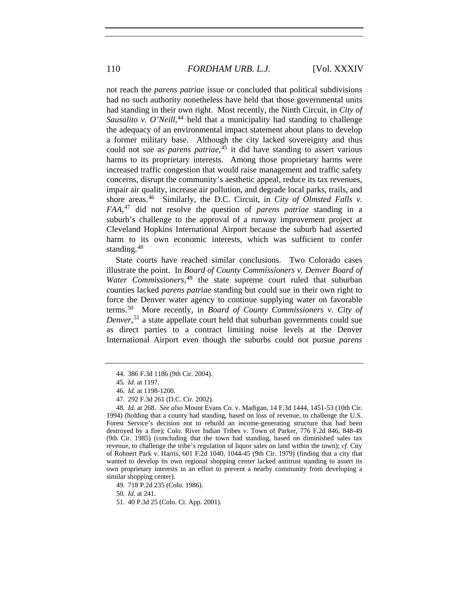not reach the *parens patriae* issue or concluded that political subdivisions had no such authority nonetheless have held that those governmental units had standing in their own right. Most recently, the Ninth Circuit, in *City of*  Sausalito v. O'Neill,<sup>[44](#page-10-0)</sup> held that a municipality had standing to challenge the adequacy of an environmental impact statement about plans to develop a former military base. Although the city lacked sovereignty and thus could not sue as *parens patriae*, [45](#page-10-1) it did have standing to assert various harms to its proprietary interests. Among those proprietary harms were increased traffic congestion that would raise management and traffic safety concerns, disrupt the community's aesthetic appeal, reduce its tax revenues, impair air quality, increase air pollution, and degrade local parks, trails, and shore areas.<sup>[46](#page-10-2)</sup> Similarly, the D.C. Circuit, in *City of Olmsted Falls v. FAA*, [47](#page-10-3) did not resolve the question of *parens patriae* standing in a suburb's challenge to the approval of a runway improvement project at Cleveland Hopkins International Airport because the suburb had asserted harm to its own economic interests, which was sufficient to confer standing.<sup>[48](#page-10-4)</sup>

State courts have reached similar conclusions. Two Colorado cases illustrate the point. In *Board of County Commissioners v. Denver Board of*  Water Commissioners,<sup>[49](#page-10-5)</sup> the state supreme court ruled that suburban counties lacked *parens patriae* standing but could sue in their own right to force the Denver water agency to continue supplying water on favorable terms.[50](#page-10-6) More recently, in *Board of County Commissioners v. City of Denver*, [51](#page-10-7) a state appellate court held that suburban governments could sue as direct parties to a contract limiting noise levels at the Denver International Airport even though the suburbs could not pursue *parens* 

<sup>44. 386</sup> F.3d 1186 (9th Cir. 2004).

<sup>45</sup>*. Id.* at 1197.

<sup>46</sup>*. Id.* at 1198-1200.

<sup>47. 292</sup> F.3d 261 (D.C. Cir. 2002).

<span id="page-10-4"></span><span id="page-10-3"></span><span id="page-10-2"></span><span id="page-10-1"></span><span id="page-10-0"></span><sup>48</sup>*. Id.* at 268. *See also* Mount Evans Co. v. Madigan, 14 F.3d 1444, 1451-53 (10th Cir. 1994) (holding that a county had standing, based on loss of revenue, to challenge the U.S. Forest Service's decision not to rebuild an income-generating structure that had been destroyed by a fire); Colo. River Indian Tribes v. Town of Parker, 776 F.2d 846, 848-49 (9th Cir. 1985) (concluding that the town had standing, based on diminished sales tax revenue, to challenge the tribe's regulation of liquor sales on land within the town); *cf.* City of Rohnert Park v. Harris, 601 F.2d 1040, 1044-45 (9th Cir. 1979) (finding that a city that wanted to develop its own regional shopping center lacked antitrust standing to assert its own proprietary interests in an effort to prevent a nearby community from developing a similar shopping center).

<span id="page-10-5"></span><sup>49. 718</sup> P.2d 235 (Colo. 1986).

<span id="page-10-6"></span><sup>50</sup>*. Id.* at 241.

<span id="page-10-7"></span><sup>51. 40</sup> P.3d 25 (Colo. Ct. App. 2001).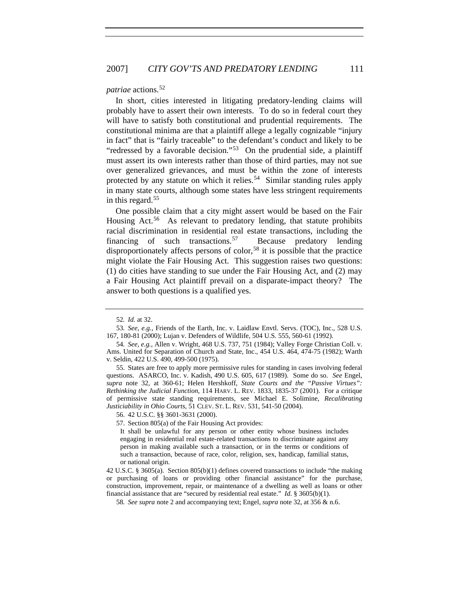#### *patriae* actions.<sup>[52](#page-11-0)</sup>

In short, cities interested in litigating predatory-lending claims will probably have to assert their own interests. To do so in federal court they will have to satisfy both constitutional and prudential requirements. The constitutional minima are that a plaintiff allege a legally cognizable "injury in fact" that is "fairly traceable" to the defendant's conduct and likely to be "redressed by a favorable decision."<sup>[53](#page-11-1)</sup> On the prudential side, a plaintiff must assert its own interests rather than those of third parties, may not sue over generalized grievances, and must be within the zone of interests protected by any statute on which it relies.<sup>[54](#page-11-2)</sup> Similar standing rules apply in many state courts, although some states have less stringent requirements in this regard.[55](#page-11-3)

One possible claim that a city might assert would be based on the Fair Housing Act.<sup>[56](#page-11-4)</sup> As relevant to predatory lending, that statute prohibits racial discrimination in residential real estate transactions, including the financing of such transactions.<sup>[57](#page-11-5)</sup> Because predatory lending disproportionately affects persons of color,<sup>[58](#page-11-6)</sup> it is possible that the practice might violate the Fair Housing Act. This suggestion raises two questions: (1) do cities have standing to sue under the Fair Housing Act, and (2) may a Fair Housing Act plaintiff prevail on a disparate-impact theory? The answer to both questions is a qualified yes.

<sup>52</sup>*. Id.* at 32.

<span id="page-11-1"></span><span id="page-11-0"></span><sup>53</sup>*. See, e.g.*, Friends of the Earth, Inc. v. Laidlaw Envtl. Servs. (TOC), Inc., 528 U.S. 167, 180-81 (2000); Lujan v. Defenders of Wildlife, 504 U.S. 555, 560-61 (1992).

<span id="page-11-2"></span><sup>54</sup>*. See, e.g.*, Allen v. Wright, 468 U.S. 737, 751 (1984); Valley Forge Christian Coll. v. Ams. United for Separation of Church and State, Inc., 454 U.S. 464, 474-75 (1982); Warth v. Seldin, 422 U.S. 490, 499-500 (1975).

<span id="page-11-3"></span><sup>55.</sup> States are free to apply more permissive rules for standing in cases involving federal questions. ASARCO, Inc. v. Kadish, 490 U.S. 605, 617 (1989). Some do so. *See* Engel, *supra* note 32, at 360-61; Helen Hershkoff, *State Courts and the "Passive Virtues": Rethinking the Judicial Function*, 114 HARV. L. REV. 1833, 1835-37 (2001). For a critique of permissive state standing requirements, see Michael E. Solimine, *Recalibrating Justiciability in Ohio Courts*, 51 CLEV. ST. L. REV. 531, 541-50 (2004).

<span id="page-11-5"></span><span id="page-11-4"></span><sup>56. 42</sup> U.S.C. §§ 3601-3631 (2000).

<sup>57.</sup> Section 805(a) of the Fair Housing Act provides:

It shall be unlawful for any person or other entity whose business includes engaging in residential real estate-related transactions to discriminate against any person in making available such a transaction, or in the terms or conditions of such a transaction, because of race, color, religion, sex, handicap, familial status, or national origin.

<span id="page-11-6"></span><sup>42</sup> U.S.C. § 3605(a). Section 805(b)(1) defines covered transactions to include "the making or purchasing of loans or providing other financial assistance" for the purchase, construction, improvement, repair, or maintenance of a dwelling as well as loans or other financial assistance that are "secured by residential real estate." *Id*. § 3605(b)(1).

<sup>58</sup>*. See supra* note 2 and accompanying text; Engel, *supra* note 32, at 356 & n.6.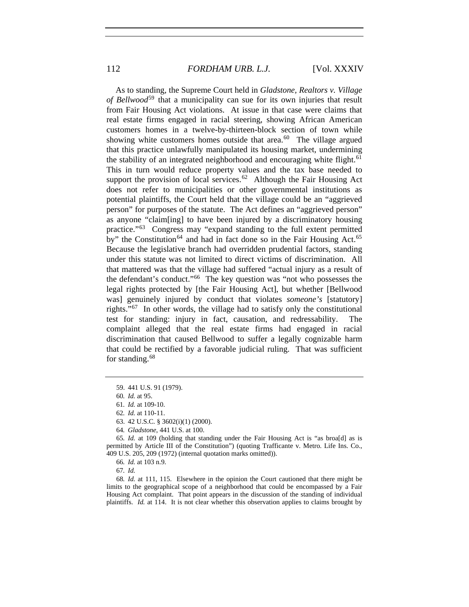As to standing, the Supreme Court held in *Gladstone, Realtors v. Village of Bellwood*[59](#page-12-0) that a municipality can sue for its own injuries that result from Fair Housing Act violations. At issue in that case were claims that real estate firms engaged in racial steering, showing African American customers homes in a twelve-by-thirteen-block section of town while showing white customers homes outside that area.<sup>[60](#page-12-1)</sup> The village argued that this practice unlawfully manipulated its housing market, undermining the stability of an integrated neighborhood and encouraging white flight.<sup>[61](#page-12-2)</sup> This in turn would reduce property values and the tax base needed to support the provision of local services.<sup>[62](#page-12-3)</sup> Although the Fair Housing Act does not refer to municipalities or other governmental institutions as potential plaintiffs, the Court held that the village could be an "aggrieved person" for purposes of the statute. The Act defines an "aggrieved person" as anyone "claim[ing] to have been injured by a discriminatory housing practice."[63](#page-12-4) Congress may "expand standing to the full extent permitted by" the Constitution<sup>[64](#page-12-5)</sup> and had in fact done so in the Fair Housing Act.<sup>[65](#page-12-6)</sup> Because the legislative branch had overridden prudential factors, standing under this statute was not limited to direct victims of discrimination. All that mattered was that the village had suffered "actual injury as a result of the defendant's conduct."[66](#page-12-7) The key question was "not who possesses the legal rights protected by [the Fair Housing Act], but whether [Bellwood was] genuinely injured by conduct that violates *someone's* [statutory] rights."[67](#page-12-8) In other words, the village had to satisfy only the constitutional test for standing: injury in fact, causation, and redressability. The complaint alleged that the real estate firms had engaged in racial discrimination that caused Bellwood to suffer a legally cognizable harm that could be rectified by a favorable judicial ruling. That was sufficient for standing.<sup>[68](#page-12-9)</sup>

<span id="page-12-9"></span><span id="page-12-8"></span><span id="page-12-7"></span>68*. Id.* at 111, 115. Elsewhere in the opinion the Court cautioned that there might be limits to the geographical scope of a neighborhood that could be encompassed by a Fair Housing Act complaint. That point appears in the discussion of the standing of individual plaintiffs. *Id.* at 114. It is not clear whether this observation applies to claims brought by

<span id="page-12-0"></span><sup>59. 441</sup> U.S. 91 (1979).

<sup>60</sup>*. Id.* at 95.

<sup>61</sup>*. Id.* at 109-10.

<sup>62</sup>*. Id.* at 110-11.

<sup>63. 42</sup> U.S.C. § 3602(i)(1) (2000).

<sup>64</sup>*. Gladstone*, 441 U.S. at 100.

<span id="page-12-6"></span><span id="page-12-5"></span><span id="page-12-4"></span><span id="page-12-3"></span><span id="page-12-2"></span><span id="page-12-1"></span><sup>65</sup>*. Id.* at 109 (holding that standing under the Fair Housing Act is "as broa[d] as is permitted by Article III of the Constitution") (quoting Trafficante v. Metro. Life Ins. Co., 409 U.S. 205, 209 (1972) (internal quotation marks omitted)).

<sup>66</sup>*. Id.* at 103 n.9.

<sup>67</sup>*. Id.*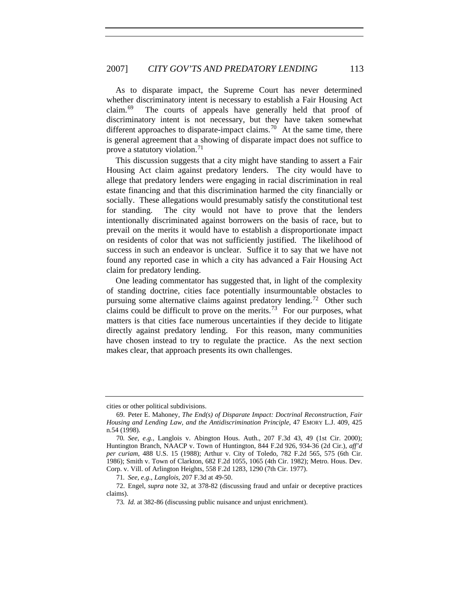As to disparate impact, the Supreme Court has never determined whether discriminatory intent is necessary to establish a Fair Housing Act claim.[69](#page-13-0) The courts of appeals have generally held that proof of discriminatory intent is not necessary, but they have taken somewhat different approaches to disparate-impact claims.<sup>[70](#page-13-1)</sup> At the same time, there is general agreement that a showing of disparate impact does not suffice to prove a statutory violation.<sup>[71](#page-13-2)</sup>

This discussion suggests that a city might have standing to assert a Fair Housing Act claim against predatory lenders. The city would have to allege that predatory lenders were engaging in racial discrimination in real estate financing and that this discrimination harmed the city financially or socially. These allegations would presumably satisfy the constitutional test for standing. The city would not have to prove that the lenders intentionally discriminated against borrowers on the basis of race, but to prevail on the merits it would have to establish a disproportionate impact on residents of color that was not sufficiently justified. The likelihood of success in such an endeavor is unclear. Suffice it to say that we have not found any reported case in which a city has advanced a Fair Housing Act claim for predatory lending.

One leading commentator has suggested that, in light of the complexity of standing doctrine, cities face potentially insurmountable obstacles to pursuing some alternative claims against predatory lending.<sup>[72](#page-13-3)</sup> Other such claims could be difficult to prove on the merits.<sup>[73](#page-13-4)</sup> For our purposes, what matters is that cities face numerous uncertainties if they decide to litigate directly against predatory lending. For this reason, many communities have chosen instead to try to regulate the practice. As the next section makes clear, that approach presents its own challenges.

cities or other political subdivisions.

<span id="page-13-0"></span><sup>69.</sup> Peter E. Mahoney, *The End(s) of Disparate Impact: Doctrinal Reconstruction, Fair Housing and Lending Law, and the Antidiscrimination Principle*, 47 EMORY L.J. 409, 425 n.54 (1998).

<span id="page-13-1"></span><sup>70</sup>*. See, e.g.*, Langlois v. Abington Hous. Auth., 207 F.3d 43, 49 (1st Cir. 2000); Huntington Branch, NAACP v. Town of Huntington, 844 F.2d 926, 934-36 (2d Cir.), *aff'd per curiam*, 488 U.S. 15 (1988); Arthur v. City of Toledo, 782 F.2d 565, 575 (6th Cir. 1986); Smith v. Town of Clarkton, 682 F.2d 1055, 1065 (4th Cir. 1982); Metro. Hous. Dev. Corp. v. Vill. of Arlington Heights, 558 F.2d 1283, 1290 (7th Cir. 1977).

<sup>71</sup>*. See, e.g.*, *Langlois*, 207 F.3d at 49-50.

<span id="page-13-4"></span><span id="page-13-3"></span><span id="page-13-2"></span><sup>72.</sup> Engel, *supra* note 32, at 378-82 (discussing fraud and unfair or deceptive practices claims).

<sup>73</sup>*. Id.* at 382-86 (discussing public nuisance and unjust enrichment).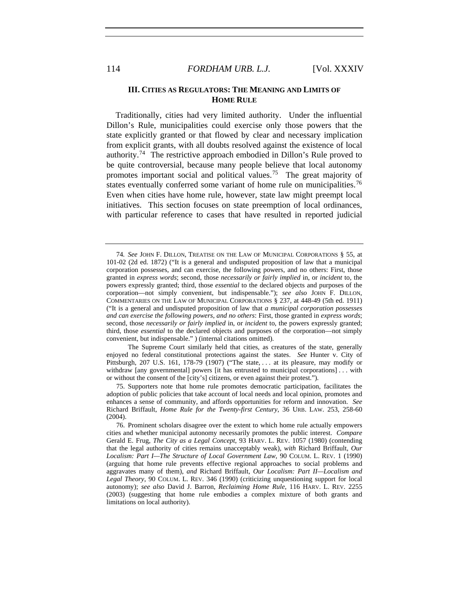#### **III. CITIES AS REGULATORS: THE MEANING AND LIMITS OF HOME RULE**

Traditionally, cities had very limited authority. Under the influential Dillon's Rule, municipalities could exercise only those powers that the state explicitly granted or that flowed by clear and necessary implication from explicit grants, with all doubts resolved against the existence of local authority.[74](#page-14-0) The restrictive approach embodied in Dillon's Rule proved to be quite controversial, because many people believe that local autonomy promotes important social and political values.<sup>[75](#page-14-1)</sup> The great majority of states eventually conferred some variant of home rule on municipalities.<sup>[76](#page-14-2)</sup> Even when cities have home rule, however, state law might preempt local initiatives. This section focuses on state preemption of local ordinances, with particular reference to cases that have resulted in reported judicial

 The Supreme Court similarly held that cities, as creatures of the state, generally enjoyed no federal constitutional protections against the states. *See* Hunter v. City of Pittsburgh, 207 U.S. 161, 178-79 (1907) ("The state, . . . at its pleasure, may modify or withdraw [any governmental] powers [it has entrusted to municipal corporations] . . . with or without the consent of the [city's] citizens, or even against their protest.").

<span id="page-14-1"></span>75. Supporters note that home rule promotes democratic participation, facilitates the adoption of public policies that take account of local needs and local opinion, promotes and enhances a sense of community, and affords opportunities for reform and innovation. *See* Richard Briffault, *Home Rule for the Twenty-first Century*, 36 URB. LAW. 253, 258-60 (2004).

<span id="page-14-0"></span><sup>74</sup>*. See* JOHN F. DILLON, TREATISE ON THE LAW OF MUNICIPAL CORPORATIONS § 55, at 101-02 (2d ed. 1872) ("It is a general and undisputed proposition of law that a municipal corporation possesses, and can exercise, the following powers, and no others: First, those granted in *express words*; second, those *necessarily or fairly implied* in, or *incident* to, the powers expressly granted; third, those *essential* to the declared objects and purposes of the corporation—not simply convenient, but indispensable."); *see also* JOHN F. DILLON, COMMENTARIES ON THE LAW OF MUNICIPAL CORPORATIONS § 237, at 448-49 (5th ed. 1911) ("It is a general and undisputed proposition of law that *a municipal corporation possesses and can exercise the following powers, and no others*: First, those granted in *express words*; second, those *necessarily or fairly implied* in, or *incident* to, the powers expressly granted; third, those *essential* to the declared objects and purposes of the corporation—not simply convenient, but indispensable." ) (internal citations omitted).

<span id="page-14-2"></span><sup>76.</sup> Prominent scholars disagree over the extent to which home rule actually empowers cities and whether municipal autonomy necessarily promotes the public interest. *Compare* Gerald E. Frug, *The City as a Legal Concept*, 93 HARV. L. REV. 1057 (1980) (contending that the legal authority of cities remains unacceptably weak), *with* Richard Briffault, *Our Localism: Part I—The Structure of Local Government Law*, 90 COLUM. L. REV. 1 (1990) (arguing that home rule prevents effective regional approaches to social problems and aggravates many of them), *and* Richard Briffault, *Our Localism: Part II—Localism and Legal Theory*, 90 COLUM. L. REV. 346 (1990) (criticizing unquestioning support for local autonomy); *see also* David J. Barron, *Reclaiming Home Rule*, 116 HARV. L. REV. 2255 (2003) (suggesting that home rule embodies a complex mixture of both grants and limitations on local authority).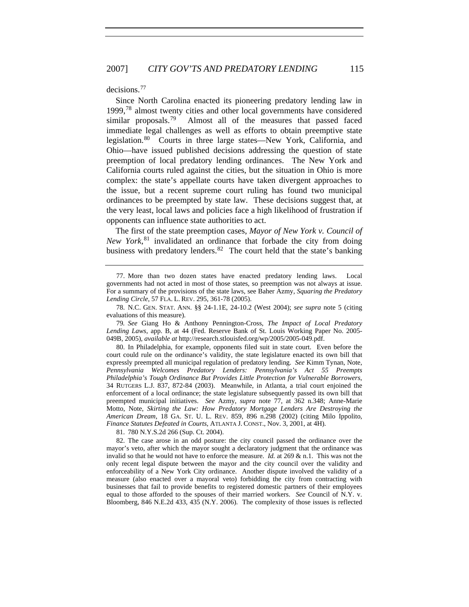decisions.[77](#page-15-0)

Since North Carolina enacted its pioneering predatory lending law in 1999,[78](#page-15-1) almost twenty cities and other local governments have considered similar proposals.<sup>[79](#page-15-2)</sup> Almost all of the measures that passed faced immediate legal challenges as well as efforts to obtain preemptive state legislation.<sup>[80](#page-15-3)</sup> Courts in three large states—New York, California, and Ohio—have issued published decisions addressing the question of state preemption of local predatory lending ordinances. The New York and California courts ruled against the cities, but the situation in Ohio is more complex: the state's appellate courts have taken divergent approaches to the issue, but a recent supreme court ruling has found two municipal ordinances to be preempted by state law. These decisions suggest that, at the very least, local laws and policies face a high likelihood of frustration if opponents can influence state authorities to act.

The first of the state preemption cases, *Mayor of New York v. Council of New York*, [81](#page-15-4) invalidated an ordinance that forbade the city from doing business with predatory lenders.  $82$  The court held that the state's banking

<span id="page-15-2"></span>79*. See* Giang Ho & Anthony Pennington-Cross, *The Impact of Local Predatory Lending Laws*, app. B, at 44 (Fed. Reserve Bank of St. Louis Working Paper No. 2005- 049B, 2005), *available at* http://research.stlouisfed.org/wp/2005/2005-049.pdf.

<span id="page-15-3"></span>80. In Philadelphia, for example, opponents filed suit in state court. Even before the court could rule on the ordinance's validity, the state legislature enacted its own bill that expressly preempted all municipal regulation of predatory lending. *See* Kimm Tynan, Note, *Pennsylvania Welcomes Predatory Lenders: Pennsylvania's Act 55 Preempts Philadelphia's Tough Ordinance But Provides Little Protection for Vulnerable Borrowers*, 34 RUTGERS L.J. 837, 872-84 (2003). Meanwhile, in Atlanta, a trial court enjoined the enforcement of a local ordinance; the state legislature subsequently passed its own bill that preempted municipal initiatives. *See* Azmy, *supra* note 77, at 362 n.348; Anne-Marie Motto, Note, *Skirting the Law: How Predatory Mortgage Lenders Are Destroying the American Dream*, 18 GA. ST. U. L. REV. 859, 896 n.298 (2002) (citing Milo Ippolito, *Finance Statutes Defeated in Courts*, ATLANTA J. CONST., Nov. 3, 2001, at 4H).

81. 780 N.Y.S.2d 266 (Sup. Ct. 2004).

<span id="page-15-5"></span><span id="page-15-4"></span>82. The case arose in an odd posture: the city council passed the ordinance over the mayor's veto, after which the mayor sought a declaratory judgment that the ordinance was invalid so that he would not have to enforce the measure. *Id.* at 269 & n.1. This was not the only recent legal dispute between the mayor and the city council over the validity and enforceability of a New York City ordinance. Another dispute involved the validity of a measure (also enacted over a mayoral veto) forbidding the city from contracting with businesses that fail to provide benefits to registered domestic partners of their employees equal to those afforded to the spouses of their married workers. *See* Council of N.Y. v. Bloomberg, 846 N.E.2d 433, 435 (N.Y. 2006). The complexity of those issues is reflected

<span id="page-15-0"></span><sup>77.</sup> More than two dozen states have enacted predatory lending laws. Local governments had not acted in most of those states, so preemption was not always at issue. For a summary of the provisions of the state laws, see Baher Azmy, *Squaring the Predatory Lending Circle*, 57 FLA. L. REV. 295, 361-78 (2005).

<span id="page-15-1"></span><sup>78.</sup> N.C. GEN. STAT. ANN. §§ 24-1.1E, 24-10.2 (West 2004); *see supra* note 5 (citing evaluations of this measure).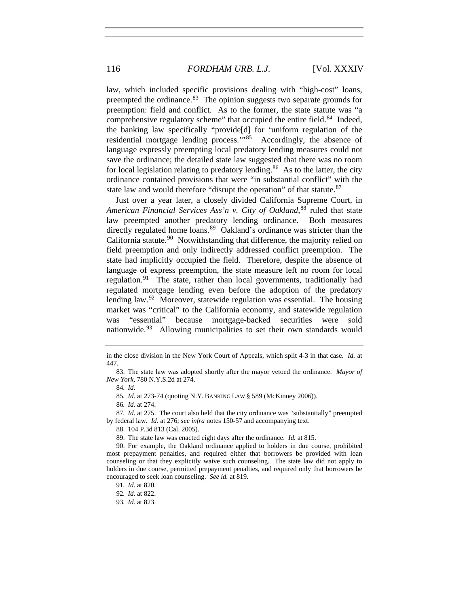law, which included specific provisions dealing with "high-cost" loans, preempted the ordinance. $83$  The opinion suggests two separate grounds for preemption: field and conflict. As to the former, the state statute was "a comprehensive regulatory scheme" that occupied the entire field.<sup>[84](#page-16-1)</sup> Indeed, the banking law specifically "provide[d] for 'uniform regulation of the residential mortgage lending process."<sup>[85](#page-16-2)</sup> Accordingly, the absence of language expressly preempting local predatory lending measures could not save the ordinance; the detailed state law suggested that there was no room for local legislation relating to predatory lending.<sup>[86](#page-16-3)</sup> As to the latter, the city ordinance contained provisions that were "in substantial conflict" with the state law and would therefore "disrupt the operation" of that statute.<sup>[87](#page-16-4)</sup>

Just over a year later, a closely divided California Supreme Court, in *American Financial Services Ass'n v. City of Oakland*, [88](#page-16-5) ruled that state law preempted another predatory lending ordinance. Both measures directly regulated home loans.<sup>[89](#page-16-6)</sup> Oakland's ordinance was stricter than the California statute.<sup>[90](#page-16-7)</sup> Notwithstanding that difference, the majority relied on field preemption and only indirectly addressed conflict preemption. The state had implicitly occupied the field. Therefore, despite the absence of language of express preemption, the state measure left no room for local regulation. $91$  The state, rather than local governments, traditionally had regulated mortgage lending even before the adoption of the predatory lending law.<sup>[92](#page-16-9)</sup> Moreover, statewide regulation was essential. The housing market was "critical" to the California economy, and statewide regulation was "essential" because mortgage-backed securities were sold nationwide.<sup>[93](#page-16-10)</sup> Allowing municipalities to set their own standards would

85*. Id.* at 273-74 (quoting N.Y. BANKING LAW § 589 (McKinney 2006)).

<span id="page-16-4"></span><span id="page-16-3"></span><span id="page-16-2"></span>87*. Id.* at 275. The court also held that the city ordinance was "substantially" preempted by federal law. *Id.* at 276; *see infra* notes 150-57 and accompanying text.

88. 104 P.3d 813 (Cal. 2005).

89. The state law was enacted eight days after the ordinance. *Id.* at 815.

<span id="page-16-8"></span><span id="page-16-7"></span><span id="page-16-6"></span><span id="page-16-5"></span>90. For example, the Oakland ordinance applied to holders in due course, prohibited most prepayment penalties, and required either that borrowers be provided with loan counseling or that they explicitly waive such counseling. The state law did not apply to holders in due course, permitted prepayment penalties, and required only that borrowers be encouraged to seek loan counseling. *See id.* at 819.

in the close division in the New York Court of Appeals, which split 4-3 in that case. *Id.* at 447.

<span id="page-16-1"></span><span id="page-16-0"></span><sup>83.</sup> The state law was adopted shortly after the mayor vetoed the ordinance. *Mayor of New York*, 780 N.Y.S.2d at 274.

<sup>84</sup>*. Id.*

<sup>86</sup>*. Id.* at 274.

<span id="page-16-10"></span><span id="page-16-9"></span><sup>91</sup>*. Id.* at 820.

<sup>92</sup>*. Id.* at 822.

<sup>93</sup>*. Id.* at 823.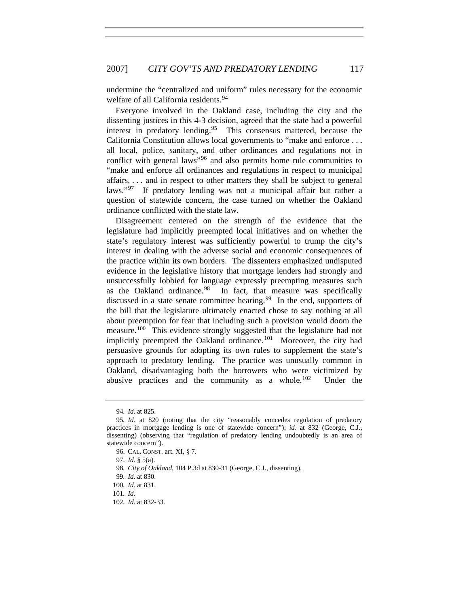undermine the "centralized and uniform" rules necessary for the economic welfare of all California residents.<sup>[94](#page-17-0)</sup>

Everyone involved in the Oakland case, including the city and the dissenting justices in this 4-3 decision, agreed that the state had a powerful interest in predatory lending.<sup>[95](#page-17-1)</sup> This consensus mattered, because the California Constitution allows local governments to "make and enforce . . . all local, police, sanitary, and other ordinances and regulations not in conflict with general laws"<sup>[96](#page-17-2)</sup> and also permits home rule communities to "make and enforce all ordinances and regulations in respect to municipal affairs, . . . and in respect to other matters they shall be subject to general laws."<sup>[97](#page-17-3)</sup> If predatory lending was not a municipal affair but rather a question of statewide concern, the case turned on whether the Oakland ordinance conflicted with the state law.

Disagreement centered on the strength of the evidence that the legislature had implicitly preempted local initiatives and on whether the state's regulatory interest was sufficiently powerful to trump the city's interest in dealing with the adverse social and economic consequences of the practice within its own borders. The dissenters emphasized undisputed evidence in the legislative history that mortgage lenders had strongly and unsuccessfully lobbied for language expressly preempting measures such as the Oakland ordinance.<sup>98</sup> In fact, that measure was specifically In fact, that measure was specifically discussed in a state senate committee hearing.<sup>[99](#page-17-5)</sup> In the end, supporters of the bill that the legislature ultimately enacted chose to say nothing at all about preemption for fear that including such a provision would doom the measure.<sup>[100](#page-17-6)</sup> This evidence strongly suggested that the legislature had not implicitly preempted the Oakland ordinance.<sup>[101](#page-17-7)</sup> Moreover, the city had persuasive grounds for adopting its own rules to supplement the state's approach to predatory lending. The practice was unusually common in Oakland, disadvantaging both the borrowers who were victimized by abusive practices and the community as a whole. $102$  Under the

<sup>94</sup>*. Id.* at 825.

<span id="page-17-3"></span><span id="page-17-2"></span><span id="page-17-1"></span><span id="page-17-0"></span><sup>95</sup>*. Id.* at 820 (noting that the city "reasonably concedes regulation of predatory practices in mortgage lending is one of statewide concern"); *id.* at 832 (George, C.J., dissenting) (observing that "regulation of predatory lending undoubtedly is an area of statewide concern").

<sup>96.</sup> CAL. CONST. art. XI, § 7.

<sup>97.</sup> *Id.* § 5(a).

<sup>98</sup>*. City of Oakland*, 104 P.3d at 830-31 (George, C.J., dissenting).

<sup>99</sup>*. Id.* at 830.

<span id="page-17-6"></span><span id="page-17-5"></span><span id="page-17-4"></span><sup>100</sup>*. Id.* at 831.

<span id="page-17-7"></span><sup>101</sup>*. Id.*

<span id="page-17-8"></span><sup>102</sup>*. Id.* at 832-33.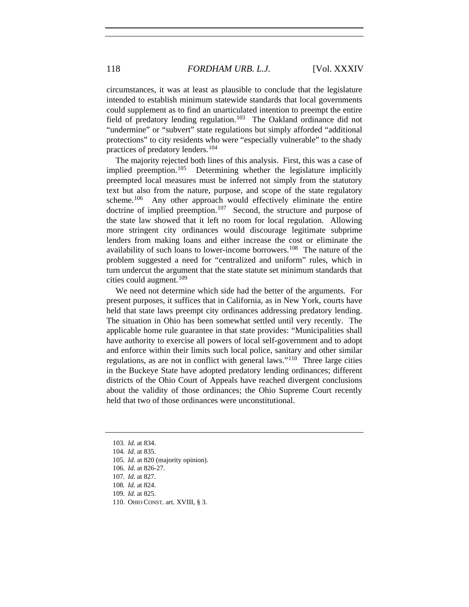circumstances, it was at least as plausible to conclude that the legislature intended to establish minimum statewide standards that local governments could supplement as to find an unarticulated intention to preempt the entire field of predatory lending regulation.<sup>[103](#page-18-0)</sup> The Oakland ordinance did not "undermine" or "subvert" state regulations but simply afforded "additional protections" to city residents who were "especially vulnerable" to the shady practices of predatory lenders.[104](#page-18-1)

The majority rejected both lines of this analysis. First, this was a case of implied preemption.<sup>[105](#page-18-2)</sup> Determining whether the legislature implicitly preempted local measures must be inferred not simply from the statutory text but also from the nature, purpose, and scope of the state regulatory scheme.<sup>[106](#page-18-3)</sup> Any other approach would effectively eliminate the entire doctrine of implied preemption.<sup>107</sup> Second, the structure and purpose of the state law showed that it left no room for local regulation. Allowing more stringent city ordinances would discourage legitimate subprime lenders from making loans and either increase the cost or eliminate the availability of such loans to lower-income borrowers.<sup>[108](#page-18-5)</sup> The nature of the problem suggested a need for "centralized and uniform" rules, which in turn undercut the argument that the state statute set minimum standards that cities could augment. $109$ 

We need not determine which side had the better of the arguments. For present purposes, it suffices that in California, as in New York, courts have held that state laws preempt city ordinances addressing predatory lending. The situation in Ohio has been somewhat settled until very recently. The applicable home rule guarantee in that state provides: "Municipalities shall have authority to exercise all powers of local self-government and to adopt and enforce within their limits such local police, sanitary and other similar regulations, as are not in conflict with general laws."[110](#page-18-7) Three large cities in the Buckeye State have adopted predatory lending ordinances; different districts of the Ohio Court of Appeals have reached divergent conclusions about the validity of those ordinances; the Ohio Supreme Court recently held that two of those ordinances were unconstitutional.

<span id="page-18-0"></span><sup>103</sup>*. Id.* at 834.

<span id="page-18-1"></span><sup>104</sup>*. Id.* at 835.

<span id="page-18-2"></span><sup>105</sup>*. Id.* at 820 (majority opinion).

<span id="page-18-3"></span><sup>106</sup>*. Id.* at 826-27.

<sup>107</sup>*. Id.* at 827.

<span id="page-18-6"></span><span id="page-18-5"></span><span id="page-18-4"></span><sup>108</sup>*. Id.* at 824.

<sup>109</sup>*. Id.* at 825.

<span id="page-18-7"></span><sup>110.</sup> OHIO CONST. art. XVIII, § 3.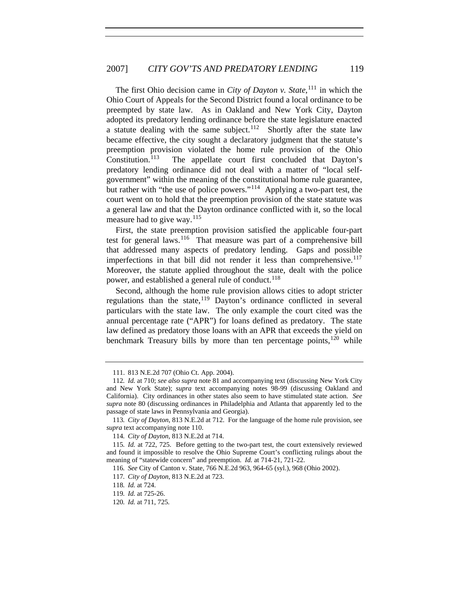The first Ohio decision came in *City of Dayton v. State*, [111](#page-19-0) in which the Ohio Court of Appeals for the Second District found a local ordinance to be preempted by state law. As in Oakland and New York City, Dayton adopted its predatory lending ordinance before the state legislature enacted a statute dealing with the same subject.<sup>[112](#page-19-1)</sup> Shortly after the state law became effective, the city sought a declaratory judgment that the statute's preemption provision violated the home rule provision of the Ohio Constitution.<sup>113</sup> The appellate court first concluded that Davton's The appellate court first concluded that Dayton's predatory lending ordinance did not deal with a matter of "local selfgovernment" within the meaning of the constitutional home rule guarantee, but rather with "the use of police powers."<sup>[114](#page-19-3)</sup> Applying a two-part test, the court went on to hold that the preemption provision of the state statute was a general law and that the Dayton ordinance conflicted with it, so the local measure had to give way. $^{115}$  $^{115}$  $^{115}$ 

First, the state preemption provision satisfied the applicable four-part test for general laws.<sup>[116](#page-19-5)</sup> That measure was part of a comprehensive bill that addressed many aspects of predatory lending. Gaps and possible imperfections in that bill did not render it less than comprehensive.<sup>[117](#page-19-6)</sup> Moreover, the statute applied throughout the state, dealt with the police power, and established a general rule of conduct.<sup>[118](#page-19-7)</sup>

Second, although the home rule provision allows cities to adopt stricter regulations than the state,  $119$  Dayton's ordinance conflicted in several particulars with the state law. The only example the court cited was the annual percentage rate ("APR") for loans defined as predatory. The state law defined as predatory those loans with an APR that exceeds the yield on benchmark Treasury bills by more than ten percentage points, $120$  while

<sup>111. 813</sup> N.E.2d 707 (Ohio Ct. App. 2004).

<span id="page-19-1"></span><span id="page-19-0"></span><sup>112</sup>*. Id.* at 710; *see also supra* note 81 and accompanying text (discussing New York City and New York State); *supra* text accompanying notes 98-99 (discussing Oakland and California). City ordinances in other states also seem to have stimulated state action. *See supra* note 80 (discussing ordinances in Philadelphia and Atlanta that apparently led to the passage of state laws in Pennsylvania and Georgia).

<span id="page-19-2"></span><sup>113</sup>*. City of Dayton*, 813 N.E.2d at 712. For the language of the home rule provision, see *supra* text accompanying note 110.

<sup>114</sup>*. City of Dayton*, 813 N.E.2d at 714.

<span id="page-19-6"></span><span id="page-19-5"></span><span id="page-19-4"></span><span id="page-19-3"></span><sup>115</sup>*. Id.* at 722, 725. Before getting to the two-part test, the court extensively reviewed and found it impossible to resolve the Ohio Supreme Court's conflicting rulings about the meaning of "statewide concern" and preemption. *Id.* at 714-21, 721-22.

<sup>116</sup>*. See* City of Canton v. State, 766 N.E.2d 963, 964-65 (syl.), 968 (Ohio 2002).

<sup>117</sup>*. City of Dayton*, 813 N.E.2d at 723.

<span id="page-19-8"></span><span id="page-19-7"></span><sup>118</sup>*. Id.* at 724.

<sup>119</sup>*. Id.* at 725-26.

<span id="page-19-9"></span><sup>120</sup>*. Id.* at 711, 725.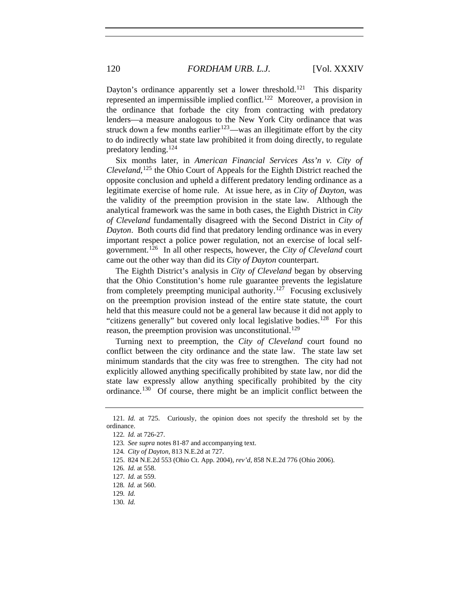Dayton's ordinance apparently set a lower threshold.<sup>[121](#page-20-0)</sup> This disparity represented an impermissible implied conflict.<sup>[122](#page-20-1)</sup> Moreover, a provision in the ordinance that forbade the city from contracting with predatory lenders—a measure analogous to the New York City ordinance that was struck down a few months earlier<sup>[123](#page-20-2)</sup>—was an illegitimate effort by the city to do indirectly what state law prohibited it from doing directly, to regulate predatory lending.[124](#page-20-3)

Six months later, in *American Financial Services Ass'n v. City of Cleveland*, [125](#page-20-4) the Ohio Court of Appeals for the Eighth District reached the opposite conclusion and upheld a different predatory lending ordinance as a legitimate exercise of home rule. At issue here, as in *City of Dayton*, was the validity of the preemption provision in the state law. Although the analytical framework was the same in both cases, the Eighth District in *City of Cleveland* fundamentally disagreed with the Second District in *City of Dayton*. Both courts did find that predatory lending ordinance was in every important respect a police power regulation, not an exercise of local selfgovernment.[126](#page-20-5) In all other respects, however, the *City of Cleveland* court came out the other way than did its *City of Dayton* counterpart.

The Eighth District's analysis in *City of Cleveland* began by observing that the Ohio Constitution's home rule guarantee prevents the legislature from completely preempting municipal authority.<sup>[127](#page-20-6)</sup> Focusing exclusively on the preemption provision instead of the entire state statute, the court held that this measure could not be a general law because it did not apply to "citizens generally" but covered only local legislative bodies.<sup>[128](#page-20-7)</sup> For this reason, the preemption provision was unconstitutional.<sup>[129](#page-20-8)</sup>

Turning next to preemption, the *City of Cleveland* court found no conflict between the city ordinance and the state law. The state law set minimum standards that the city was free to strengthen. The city had not explicitly allowed anything specifically prohibited by state law, nor did the state law expressly allow anything specifically prohibited by the city ordinance.[130](#page-20-9) Of course, there might be an implicit conflict between the

<span id="page-20-4"></span>125. 824 N.E.2d 553 (Ohio Ct. App. 2004), *rev'd*, 858 N.E.2d 776 (Ohio 2006).

<span id="page-20-3"></span><span id="page-20-2"></span><span id="page-20-1"></span><span id="page-20-0"></span><sup>121</sup>*. Id.* at 725. Curiously, the opinion does not specify the threshold set by the ordinance.

<sup>122</sup>*. Id.* at 726-27.

<sup>123</sup>*. See supra* notes 81-87 and accompanying text.

<sup>124</sup>*. City of Dayton*, 813 N.E.2d at 727.

<span id="page-20-5"></span><sup>126</sup>*. Id.* at 558.

<span id="page-20-6"></span><sup>127</sup>*. Id.* at 559.

<span id="page-20-7"></span><sup>128</sup>*. Id.* at 560.

<span id="page-20-8"></span><sup>129</sup>*. Id.*

<span id="page-20-9"></span><sup>130</sup>*. Id.*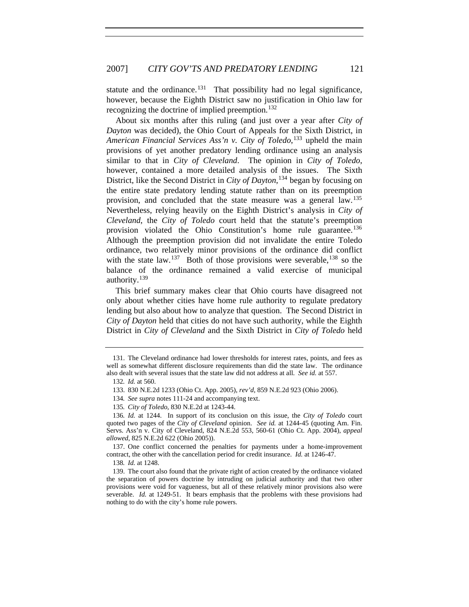statute and the ordinance.<sup>[131](#page-21-0)</sup> That possibility had no legal significance, however, because the Eighth District saw no justification in Ohio law for recognizing the doctrine of implied preemption.<sup>[132](#page-21-1)</sup>

About six months after this ruling (and just over a year after *City of Dayton* was decided), the Ohio Court of Appeals for the Sixth District, in *American Financial Services Ass'n v. City of Toledo*, [133](#page-21-2) upheld the main provisions of yet another predatory lending ordinance using an analysis similar to that in *City of Cleveland*. The opinion in *City of Toledo*, however, contained a more detailed analysis of the issues. The Sixth District, like the Second District in *City of Dayton*, [134](#page-21-3) began by focusing on the entire state predatory lending statute rather than on its preemption provision, and concluded that the state measure was a general law.<sup>[135](#page-21-4)</sup> Nevertheless, relying heavily on the Eighth District's analysis in *City of Cleveland*, the *City of Toledo* court held that the statute's preemption provision violated the Ohio Constitution's home rule guarantee.<sup>[136](#page-21-5)</sup> Although the preemption provision did not invalidate the entire Toledo ordinance, two relatively minor provisions of the ordinance did conflict with the state law.<sup>[137](#page-21-6)</sup> Both of those provisions were severable,<sup>[138](#page-21-7)</sup> so the balance of the ordinance remained a valid exercise of municipal authority.<sup>[139](#page-21-8)</sup>

This brief summary makes clear that Ohio courts have disagreed not only about whether cities have home rule authority to regulate predatory lending but also about how to analyze that question. The Second District in *City of Dayton* held that cities do not have such authority, while the Eighth District in *City of Cleveland* and the Sixth District in *City of Toledo* held

<span id="page-21-1"></span><span id="page-21-0"></span><sup>131.</sup> The Cleveland ordinance had lower thresholds for interest rates, points, and fees as well as somewhat different disclosure requirements than did the state law. The ordinance also dealt with several issues that the state law did not address at all. *See id.* at 557.

<sup>132</sup>*. Id.* at 560.

<sup>133. 830</sup> N.E.2d 1233 (Ohio Ct. App. 2005), *rev'd*, 859 N.E.2d 923 (Ohio 2006).

<sup>134</sup>*. See supra* notes 111-24 and accompanying text.

<sup>135</sup>*. City of Toledo*, 830 N.E.2d at 1243-44.

<span id="page-21-5"></span><span id="page-21-4"></span><span id="page-21-3"></span><span id="page-21-2"></span><sup>136</sup>*. Id.* at 1244. In support of its conclusion on this issue, the *City of Toledo* court quoted two pages of the *City of Cleveland* opinion. *See id.* at 1244-45 (quoting Am. Fin. Servs. Ass'n v. City of Cleveland, 824 N.E.2d 553, 560-61 (Ohio Ct. App. 2004), *appeal allowed*, 825 N.E.2d 622 (Ohio 2005)).

<span id="page-21-6"></span><sup>137.</sup> One conflict concerned the penalties for payments under a home-improvement contract, the other with the cancellation period for credit insurance. *Id.* at 1246-47.

<sup>138</sup>*. Id.* at 1248.

<span id="page-21-8"></span><span id="page-21-7"></span><sup>139.</sup> The court also found that the private right of action created by the ordinance violated the separation of powers doctrine by intruding on judicial authority and that two other provisions were void for vagueness, but all of these relatively minor provisions also were severable. *Id.* at 1249-51. It bears emphasis that the problems with these provisions had nothing to do with the city's home rule powers.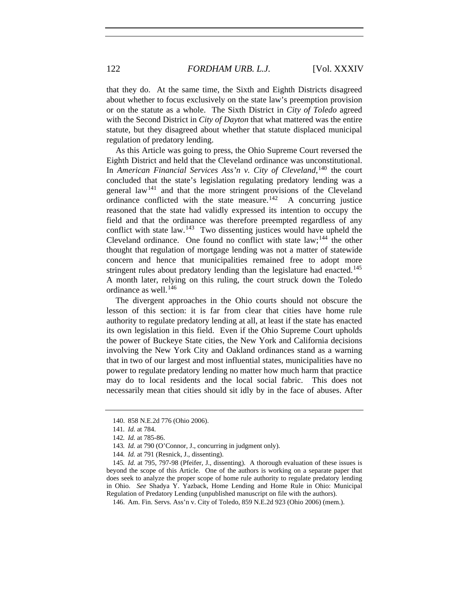that they do. At the same time, the Sixth and Eighth Districts disagreed about whether to focus exclusively on the state law's preemption provision or on the statute as a whole. The Sixth District in *City of Toledo* agreed with the Second District in *City of Dayton* that what mattered was the entire statute, but they disagreed about whether that statute displaced municipal regulation of predatory lending.

As this Article was going to press, the Ohio Supreme Court reversed the Eighth District and held that the Cleveland ordinance was unconstitutional. In *American Financial Services Ass'n v. City of Cleveland*, [140](#page-22-0) the court concluded that the state's legislation regulating predatory lending was a general law<sup>[141](#page-22-1)</sup> and that the more stringent provisions of the Cleveland ordinance conflicted with the state measure.<sup>[142](#page-22-2)</sup> A concurring justice reasoned that the state had validly expressed its intention to occupy the field and that the ordinance was therefore preempted regardless of any conflict with state law.<sup>[143](#page-22-3)</sup> Two dissenting justices would have upheld the Cleveland ordinance. One found no conflict with state law;<sup>[144](#page-22-4)</sup> the other thought that regulation of mortgage lending was not a matter of statewide concern and hence that municipalities remained free to adopt more stringent rules about predatory lending than the legislature had enacted.<sup>[145](#page-22-5)</sup> A month later, relying on this ruling, the court struck down the Toledo ordinance as well. $146$ 

The divergent approaches in the Ohio courts should not obscure the lesson of this section: it is far from clear that cities have home rule authority to regulate predatory lending at all, at least if the state has enacted its own legislation in this field. Even if the Ohio Supreme Court upholds the power of Buckeye State cities, the New York and California decisions involving the New York City and Oakland ordinances stand as a warning that in two of our largest and most influential states, municipalities have no power to regulate predatory lending no matter how much harm that practice may do to local residents and the local social fabric. This does not necessarily mean that cities should sit idly by in the face of abuses. After

<span id="page-22-0"></span><sup>140. 858</sup> N.E.2d 776 (Ohio 2006).

<sup>141</sup>*. Id.* at 784.

<sup>142</sup>*. Id.* at 785-86.

<sup>143</sup>*. Id.* at 790 (O'Connor, J., concurring in judgment only).

<sup>144</sup>*. Id.* at 791 (Resnick, J., dissenting).

<span id="page-22-5"></span><span id="page-22-4"></span><span id="page-22-3"></span><span id="page-22-2"></span><span id="page-22-1"></span><sup>145</sup>*. Id.* at 795, 797-98 (Pfeifer, J., dissenting). A thorough evaluation of these issues is beyond the scope of this Article. One of the authors is working on a separate paper that does seek to analyze the proper scope of home rule authority to regulate predatory lending in Ohio. *See* Shadya Y. Yazback, Home Lending and Home Rule in Ohio: Municipal Regulation of Predatory Lending (unpublished manuscript on file with the authors).

<span id="page-22-6"></span><sup>146.</sup> Am. Fin. Servs. Ass'n v. City of Toledo, 859 N.E.2d 923 (Ohio 2006) (mem.).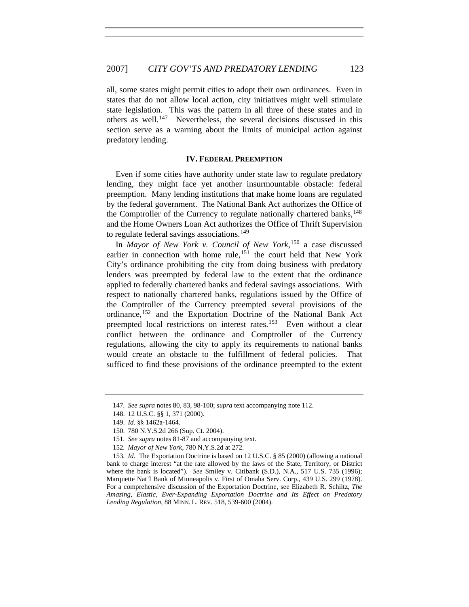all, some states might permit cities to adopt their own ordinances. Even in states that do not allow local action, city initiatives might well stimulate state legislation. This was the pattern in all three of these states and in others as well.[147](#page-23-0) Nevertheless, the several decisions discussed in this section serve as a warning about the limits of municipal action against predatory lending.

#### **IV. FEDERAL PREEMPTION**

Even if some cities have authority under state law to regulate predatory lending, they might face yet another insurmountable obstacle: federal preemption. Many lending institutions that make home loans are regulated by the federal government. The National Bank Act authorizes the Office of the Comptroller of the Currency to regulate nationally chartered banks,  $^{148}$  $^{148}$  $^{148}$ and the Home Owners Loan Act authorizes the Office of Thrift Supervision to regulate federal savings associations.<sup>[149](#page-23-2)</sup>

In *Mayor of New York v. Council of New York*, [150](#page-23-3) a case discussed earlier in connection with home rule,<sup>[151](#page-23-4)</sup> the court held that New York City's ordinance prohibiting the city from doing business with predatory lenders was preempted by federal law to the extent that the ordinance applied to federally chartered banks and federal savings associations. With respect to nationally chartered banks, regulations issued by the Office of the Comptroller of the Currency preempted several provisions of the ordinance,<sup>[152](#page-23-5)</sup> and the Exportation Doctrine of the National Bank Act preempted local restrictions on interest rates.<sup>[153](#page-23-6)</sup> Even without a clear conflict between the ordinance and Comptroller of the Currency regulations, allowing the city to apply its requirements to national banks would create an obstacle to the fulfillment of federal policies. That sufficed to find these provisions of the ordinance preempted to the extent

<span id="page-23-0"></span><sup>147</sup>*. See supra* notes 80, 83, 98-100; *supra* text accompanying note 112.

<span id="page-23-1"></span><sup>148. 12</sup> U.S.C. §§ 1, 371 (2000).

<sup>149.</sup> *Id.* §§ 1462a-1464.

<sup>150. 780</sup> N.Y.S.2d 266 (Sup. Ct. 2004).

<sup>151</sup>*. See supra* notes 81-87 and accompanying text.

<sup>152</sup>*. Mayor of New York*, 780 N.Y.S.2d at 272.

<span id="page-23-6"></span><span id="page-23-5"></span><span id="page-23-4"></span><span id="page-23-3"></span><span id="page-23-2"></span><sup>153</sup>*. Id.* The Exportation Doctrine is based on 12 U.S.C. § 85 (2000) (allowing a national bank to charge interest "at the rate allowed by the laws of the State, Territory, or District where the bank is located")*. See* Smiley v. Citibank (S.D.), N.A., 517 U.S. 735 (1996); Marquette Nat'l Bank of Minneapolis v. First of Omaha Serv. Corp., 439 U.S. 299 (1978). For a comprehensive discussion of the Exportation Doctrine, see Elizabeth R. Schiltz, *The Amazing, Elastic, Ever-Expanding Exportation Doctrine and Its Effect on Predatory Lending Regulation*, 88 MINN. L. REV. 518, 539-600 (2004).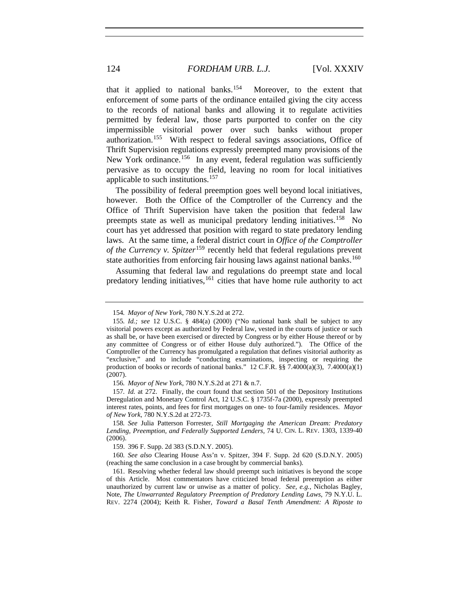that it applied to national banks.[154](#page-24-0) Moreover, to the extent that enforcement of some parts of the ordinance entailed giving the city access to the records of national banks and allowing it to regulate activities permitted by federal law, those parts purported to confer on the city impermissible visitorial power over such banks without proper authorization.[155](#page-24-1) With respect to federal savings associations, Office of Thrift Supervision regulations expressly preempted many provisions of the New York ordinance.<sup>[156](#page-24-2)</sup> In any event, federal regulation was sufficiently pervasive as to occupy the field, leaving no room for local initiatives applicable to such institutions.[157](#page-24-3)

The possibility of federal preemption goes well beyond local initiatives, however. Both the Office of the Comptroller of the Currency and the Office of Thrift Supervision have taken the position that federal law preempts state as well as municipal predatory lending initiatives.<sup>[158](#page-24-4)</sup> No court has yet addressed that position with regard to state predatory lending laws. At the same time, a federal district court in *Office of the Comptroller of the Currency v. Spitzer*[159](#page-24-5) recently held that federal regulations prevent state authorities from enforcing fair housing laws against national banks.<sup>[160](#page-24-6)</sup>

Assuming that federal law and regulations do preempt state and local predatory lending initiatives,<sup>[161](#page-24-7)</sup> cities that have home rule authority to act

<sup>154</sup>*. Mayor of New York*, 780 N.Y.S.2d at 272.

<span id="page-24-1"></span><span id="page-24-0"></span><sup>155</sup>*. Id.; see* 12 U.S.C. § 484(a) (2000) ("No national bank shall be subject to any visitorial powers except as authorized by Federal law, vested in the courts of justice or such as shall be, or have been exercised or directed by Congress or by either House thereof or by any committee of Congress or of either House duly authorized."). The Office of the Comptroller of the Currency has promulgated a regulation that defines visitorial authority as "exclusive," and to include "conducting examinations, inspecting or requiring the production of books or records of national banks." 12 C.F.R.  $\S$  $\hat{S}$  7.4000(a)(3), 7.4000(a)(1) (2007).

<sup>156</sup>*. Mayor of New York*, 780 N.Y.S.2d at 271 & n.7.

<span id="page-24-3"></span><span id="page-24-2"></span><sup>157</sup>*. Id.* at 272. Finally, the court found that section 501 of the Depository Institutions Deregulation and Monetary Control Act, 12 U.S.C. § 1735f-7a (2000), expressly preempted interest rates, points, and fees for first mortgages on one- to four-family residences. *Mayor of New York*, 780 N.Y.S.2d at 272-73.

<span id="page-24-4"></span><sup>158</sup>*. See* Julia Patterson Forrester, *Still Mortgaging the American Dream: Predatory Lending, Preemption, and Federally Supported Lenders*, 74 U. CIN. L. REV. 1303, 1339-40 (2006).

<sup>159. 396</sup> F. Supp. 2d 383 (S.D.N.Y. 2005).

<span id="page-24-6"></span><span id="page-24-5"></span><sup>160</sup>*. See also* Clearing House Ass'n v. Spitzer, 394 F. Supp. 2d 620 (S.D.N.Y. 2005) (reaching the same conclusion in a case brought by commercial banks).

<span id="page-24-7"></span><sup>161.</sup> Resolving whether federal law should preempt such initiatives is beyond the scope of this Article. Most commentators have criticized broad federal preemption as either unauthorized by current law or unwise as a matter of policy. *See, e.g.*, Nicholas Bagley, Note, *The Unwarranted Regulatory Preemption of Predatory Lending Laws*, 79 N.Y.U. L. REV. 2274 (2004); Keith R. Fisher, *Toward a Basal Tenth Amendment: A Riposte to*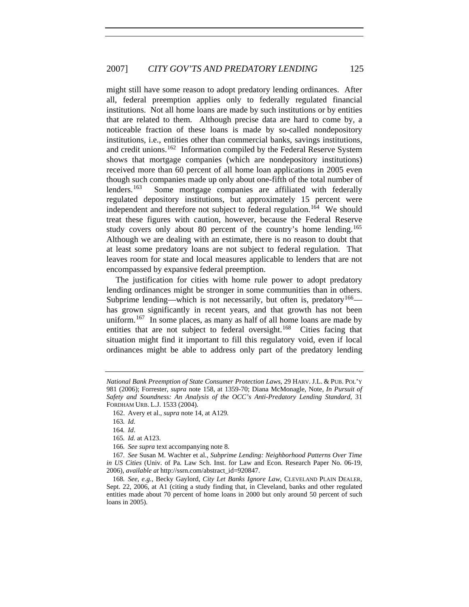might still have some reason to adopt predatory lending ordinances. After all, federal preemption applies only to federally regulated financial institutions. Not all home loans are made by such institutions or by entities that are related to them. Although precise data are hard to come by, a noticeable fraction of these loans is made by so-called nondepository institutions, i.e., entities other than commercial banks, savings institutions, and credit unions.<sup>[162](#page-25-0)</sup> Information compiled by the Federal Reserve System shows that mortgage companies (which are nondepository institutions) received more than 60 percent of all home loan applications in 2005 even though such companies made up only about one-fifth of the total number of lenders.<sup>[163](#page-25-1)</sup> Some mortgage companies are affiliated with federally regulated depository institutions, but approximately 15 percent were independent and therefore not subject to federal regulation.<sup>[164](#page-25-2)</sup> We should treat these figures with caution, however, because the Federal Reserve study covers only about 80 percent of the country's home lending.<sup>[165](#page-25-3)</sup> Although we are dealing with an estimate, there is no reason to doubt that at least some predatory loans are not subject to federal regulation. That leaves room for state and local measures applicable to lenders that are not encompassed by expansive federal preemption.

The justification for cities with home rule power to adopt predatory lending ordinances might be stronger in some communities than in others. Subprime lending—which is not necessarily, but often is, predatory<sup>[166](#page-25-4)</sup> has grown significantly in recent years, and that growth has not been uniform.<sup>[167](#page-25-5)</sup> In some places, as many as half of all home loans are made by entities that are not subject to federal oversight.<sup>[168](#page-25-6)</sup> Cities facing that situation might find it important to fill this regulatory void, even if local ordinances might be able to address only part of the predatory lending

<span id="page-25-0"></span>*National Bank Preemption of State Consumer Protection Laws*, 29 HARV. J.L. & PUB. POL'Y 981 (2006); Forrester, *supra* note 158, at 1359-70; Diana McMonagle, Note, *In Pursuit of Safety and Soundness: An Analysis of the OCC's Anti-Predatory Lending Standard*, 31 FORDHAM URB. L.J. 1533 (2004).

<sup>162.</sup> Avery et al., *supra* note 14, at A129*.* 

<sup>163</sup>*. Id.*

<sup>164</sup>*. Id*.

<sup>165</sup>*. Id.* at A123.

<sup>166</sup>*. See supra* text accompanying note 8.

<span id="page-25-5"></span><span id="page-25-4"></span><span id="page-25-3"></span><span id="page-25-2"></span><span id="page-25-1"></span><sup>167</sup>*. See* Susan M. Wachter et al., *Subprime Lending: Neighborhood Patterns Over Time in US Cities* (Univ. of Pa. Law Sch. Inst. for Law and Econ. Research Paper No. 06-19, 2006), *available at* http://ssrn.com/abstract\_id=920847.

<span id="page-25-6"></span><sup>168</sup>*. See, e.g.*, Becky Gaylord, *City Let Banks Ignore Law*, CLEVELAND PLAIN DEALER, Sept. 22, 2006, at A1 (citing a study finding that, in Cleveland, banks and other regulated entities made about 70 percent of home loans in 2000 but only around 50 percent of such loans in 2005).